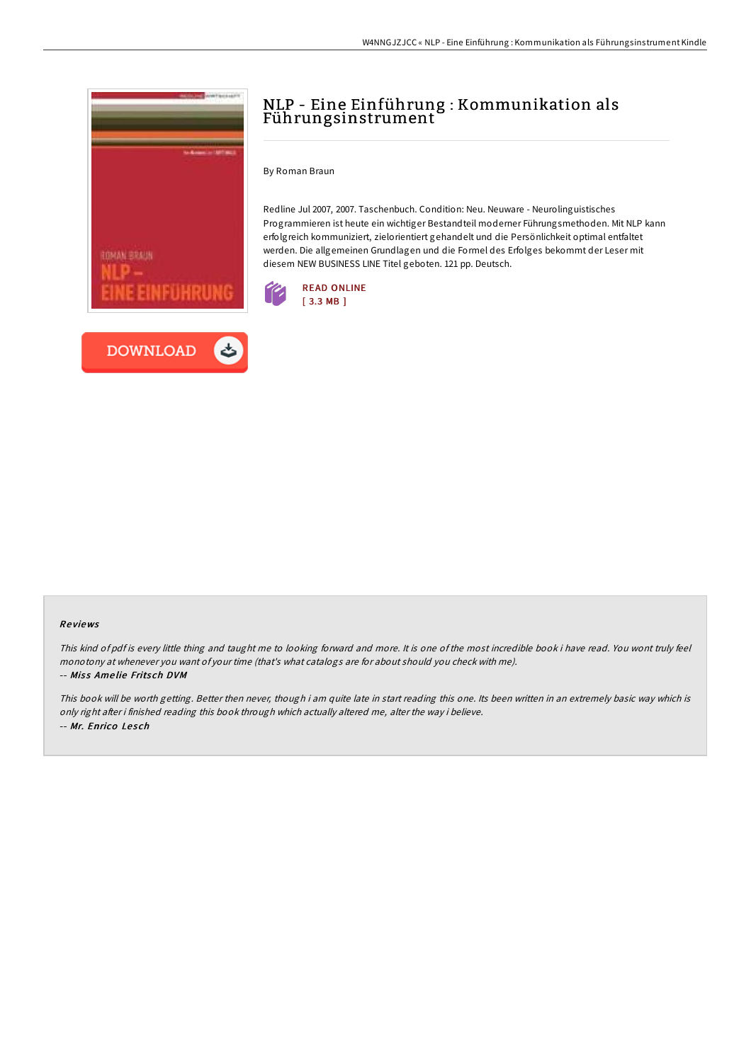

## NLP - Eine Einführung : Kommunikation als Führungsinstrument

By Roman Braun

Redline Jul 2007, 2007. Taschenbuch. Condition: Neu. Neuware - Neurolinguistisches Programmieren ist heute ein wichtiger Bestandteil moderner Führungsmethoden. Mit NLP kann erfolgreich kommuniziert, zielorientiert gehandelt und die Persönlichkeit optimal entfaltet werden. Die allgemeinen Grundlagen und die Formel des Erfolges bekommt der Leser mit diesem NEW BUSINESS LINE Titel geboten. 121 pp. Deutsch.



## Re views

This kind of pdf is every little thing and taught me to looking forward and more. It is one of the most incredible book i have read. You wont truly feel monotony at whenever you want of your time (that's what catalogs are for about should you check with me). -- Miss Amelie Fritsch DVM

This book will be worth getting. Better then never, though i am quite late in start reading this one. Its been written in an extremely basic way which is only right after i finished reading this book through which actually altered me, alter the way i believe. -- Mr. Enrico Lesch